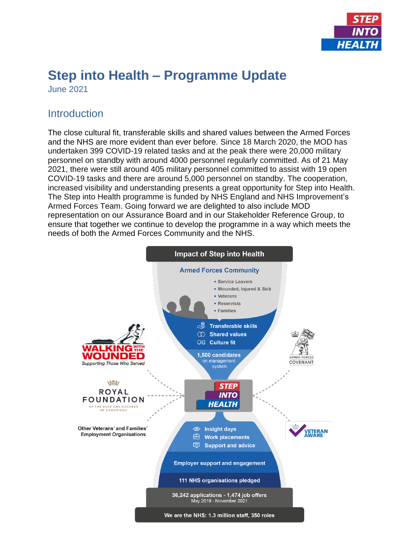

# **Step into Health – Programme Update**

June 2021

#### **Introduction**

The close cultural fit, transferable skills and shared values between the Armed Forces and the NHS are more evident than ever before. Since 18 March 2020, the MOD has undertaken 399 COVID-19 related tasks and at the peak there were 20,000 military personnel on standby with around 4000 personnel regularly committed. As of 21 May 2021, there were still around 405 military personnel committed to assist with 19 open COVID-19 tasks and there are around 5,000 personnel on standby. The cooperation, increased visibility and understanding presents a great opportunity for Step into Health. The Step into Health programme is funded by NHS England and NHS Improvement's Armed Forces Team. Going forward we are delighted to also include MOD representation on our Assurance Board and in our Stakeholder Reference Group, to ensure that together we continue to develop the programme in a way which meets the needs of both the Armed Forces Community and the NHS.